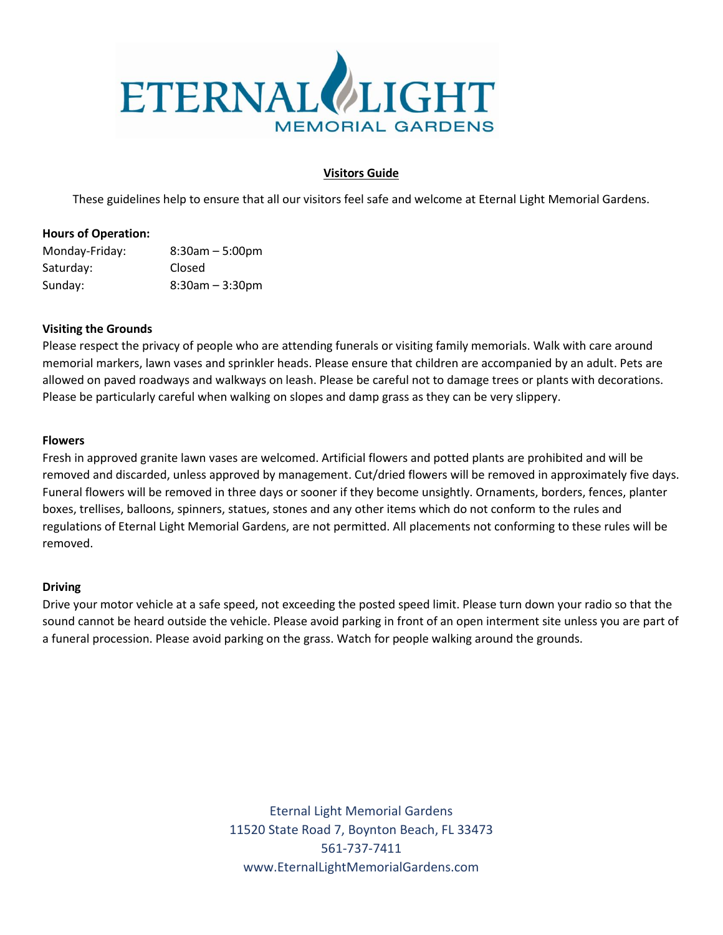

# **Visitors Guide**

These guidelines help to ensure that all our visitors feel safe and welcome at Eternal Light Memorial Gardens.

# **Hours of Operation:**

| Monday-Friday: | $8:30am - 5:00pm$ |
|----------------|-------------------|
| Saturday:      | <b>Closed</b>     |
| Sunday:        | $8:30am - 3:30pm$ |

# **Visiting the Grounds**

Please respect the privacy of people who are attending funerals or visiting family memorials. Walk with care around memorial markers, lawn vases and sprinkler heads. Please ensure that children are accompanied by an adult. Pets are allowed on paved roadways and walkways on leash. Please be careful not to damage trees or plants with decorations. Please be particularly careful when walking on slopes and damp grass as they can be very slippery.

#### **Flowers**

Fresh in approved granite lawn vases are welcomed. Artificial flowers and potted plants are prohibited and will be removed and discarded, unless approved by management. Cut/dried flowers will be removed in approximately five days. Funeral flowers will be removed in three days or sooner if they become unsightly. Ornaments, borders, fences, planter boxes, trellises, balloons, spinners, statues, stones and any other items which do not conform to the rules and regulations of Eternal Light Memorial Gardens, are not permitted. All placements not conforming to these rules will be removed.

#### **Driving**

Drive your motor vehicle at a safe speed, not exceeding the posted speed limit. Please turn down your radio so that the sound cannot be heard outside the vehicle. Please avoid parking in front of an open interment site unless you are part of a funeral procession. Please avoid parking on the grass. Watch for people walking around the grounds.

> Eternal Light Memorial Gardens 11520 State Road 7, Boynton Beach, FL 33473 561-737-7411 www.EternalLightMemorialGardens.com